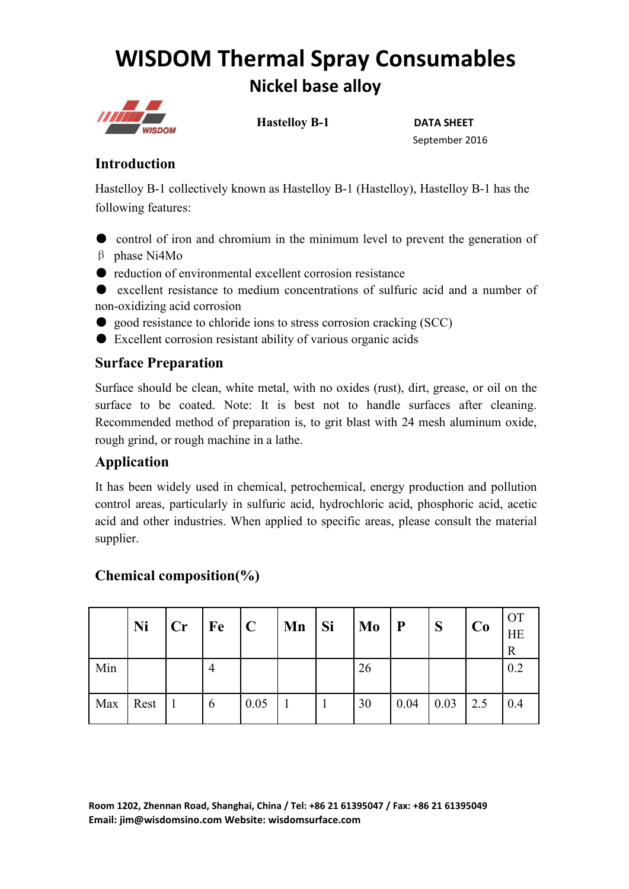# **WISDOM Thermal Spray Consumables Nickel base alloy**



**Hastelloy B-1 DATA SHEET**

September 2016

## **Introduction**

Hastelloy B-1 collectively known as Hastelloy B-1 (Hastelloy), Hastelloy B-1 has the following features:

● control of iron and chromium in the minimum level to prevent the generation of β phase Ni4Mo

● reduction of environmental excellent corrosion resistance

● excellent resistance to medium concentrations of sulfuric acid and a number of non-oxidizing acid corrosion

- good resistance to chloride ions to stress corrosion cracking (SCC)
- Excellent corrosion resistant ability of various organic acids

### **Surface Preparation**

Surface should be clean, white metal, with no oxides (rust), dirt, grease, or oil on the surface to be coated. Note: It is best not to handle surfaces after cleaning. Recommended method of preparation is, to grit blast with 24 mesh aluminum oxide, rough grind, or rough machine in a lathe.

## **Application**

It has been widely used in chemical, petrochemical, energy production and pollution control areas, particularly in sulfuric acid, hydrochloric acid, phosphoric acid, acetic acid and other industries. When applied to specific areas, please consult the material supplier.

## **Ni**  $|$  **Cr**  $|$  **Fe**  $|$  **C**  $|$  **Mn**  $|$  **Si**  $|$  **Mo**  $|$  **P**  $|$  **S**  $|$  **Co**  $|$   $|$  **E**  $|$ OT  $HE$  | R  $\vert$ Min 4 26 0.2 Max | Rest | 1 | 6 | 0.05 | 1 | 1 | 30 | 0.04 | 0.03 | 2.5 | 0.4 |

## **Chemical composition(%)**